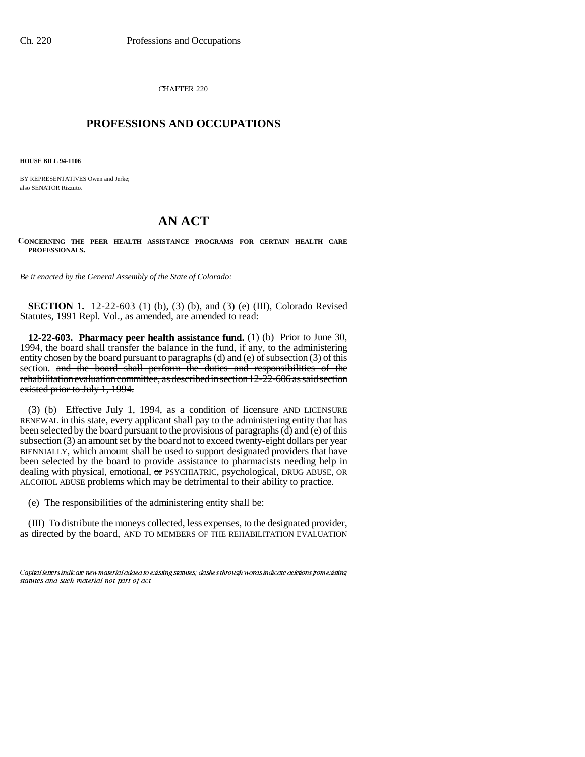CHAPTER 220

## \_\_\_\_\_\_\_\_\_\_\_\_\_\_\_ **PROFESSIONS AND OCCUPATIONS** \_\_\_\_\_\_\_\_\_\_\_\_\_\_\_

**HOUSE BILL 94-1106**

BY REPRESENTATIVES Owen and Jerke; also SENATOR Rizzuto.

## **AN ACT**

**CONCERNING THE PEER HEALTH ASSISTANCE PROGRAMS FOR CERTAIN HEALTH CARE PROFESSIONALS.**

*Be it enacted by the General Assembly of the State of Colorado:*

**SECTION 1.** 12-22-603 (1) (b), (3) (b), and (3) (e) (III), Colorado Revised Statutes, 1991 Repl. Vol., as amended, are amended to read:

**12-22-603. Pharmacy peer health assistance fund.** (1) (b) Prior to June 30, 1994, the board shall transfer the balance in the fund, if any, to the administering entity chosen by the board pursuant to paragraphs (d) and (e) of subsection (3) of this section. and the board shall perform the duties and responsibilities of the rehabilitation evaluation committee, as described in section 12-22-606 as said section existed prior to July 1, 1994.

(3) (b) Effective July 1, 1994, as a condition of licensure AND LICENSURE RENEWAL in this state, every applicant shall pay to the administering entity that has been selected by the board pursuant to the provisions of paragraphs (d) and (e) of this subsection  $(3)$  an amount set by the board not to exceed twenty-eight dollars per year BIENNIALLY, which amount shall be used to support designated providers that have been selected by the board to provide assistance to pharmacists needing help in dealing with physical, emotional, or PSYCHIATRIC, psychological, DRUG ABUSE, OR ALCOHOL ABUSE problems which may be detrimental to their ability to practice.

(e) The responsibilities of the administering entity shall be:

(III) To distribute the moneys collected, less expenses, to the designated provider, as directed by the board, AND TO MEMBERS OF THE REHABILITATION EVALUATION

Capital letters indicate new material added to existing statutes; dashes through words indicate deletions from existing statutes and such material not part of act.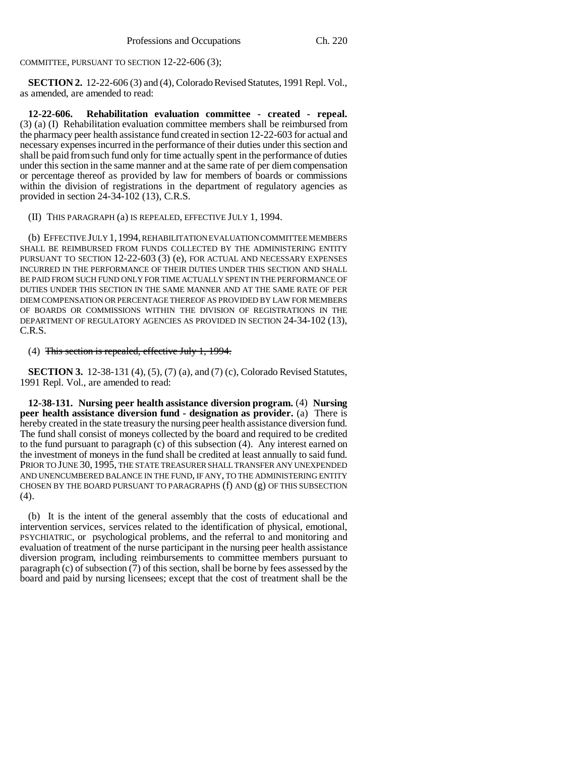COMMITTEE, PURSUANT TO SECTION 12-22-606 (3);

**SECTION 2.** 12-22-606 (3) and (4), Colorado Revised Statutes, 1991 Repl. Vol., as amended, are amended to read:

**12-22-606. Rehabilitation evaluation committee - created - repeal.** (3) (a) (I) Rehabilitation evaluation committee members shall be reimbursed from the pharmacy peer health assistance fund created in section 12-22-603 for actual and necessary expenses incurred in the performance of their duties under this section and shall be paid from such fund only for time actually spent in the performance of duties under this section in the same manner and at the same rate of per diem compensation or percentage thereof as provided by law for members of boards or commissions within the division of registrations in the department of regulatory agencies as provided in section 24-34-102 (13), C.R.S.

(II) THIS PARAGRAPH (a) IS REPEALED, EFFECTIVE JULY 1, 1994.

(b) EFFECTIVE JULY 1,1994, REHABILITATION EVALUATION COMMITTEE MEMBERS SHALL BE REIMBURSED FROM FUNDS COLLECTED BY THE ADMINISTERING ENTITY PURSUANT TO SECTION 12-22-603 (3) (e), FOR ACTUAL AND NECESSARY EXPENSES INCURRED IN THE PERFORMANCE OF THEIR DUTIES UNDER THIS SECTION AND SHALL BE PAID FROM SUCH FUND ONLY FOR TIME ACTUALLY SPENT IN THE PERFORMANCE OF DUTIES UNDER THIS SECTION IN THE SAME MANNER AND AT THE SAME RATE OF PER DIEM COMPENSATION OR PERCENTAGE THEREOF AS PROVIDED BY LAW FOR MEMBERS OF BOARDS OR COMMISSIONS WITHIN THE DIVISION OF REGISTRATIONS IN THE DEPARTMENT OF REGULATORY AGENCIES AS PROVIDED IN SECTION 24-34-102 (13), C.R.S.

(4) This section is repealed, effective July 1, 1994.

**SECTION 3.** 12-38-131 (4), (5), (7) (a), and (7) (c), Colorado Revised Statutes, 1991 Repl. Vol., are amended to read:

**12-38-131. Nursing peer health assistance diversion program.** (4) **Nursing peer health assistance diversion fund - designation as provider.** (a) There is hereby created in the state treasury the nursing peer health assistance diversion fund. The fund shall consist of moneys collected by the board and required to be credited to the fund pursuant to paragraph (c) of this subsection (4). Any interest earned on the investment of moneys in the fund shall be credited at least annually to said fund. PRIOR TO JUNE 30, 1995, THE STATE TREASURER SHALL TRANSFER ANY UNEXPENDED AND UNENCUMBERED BALANCE IN THE FUND, IF ANY, TO THE ADMINISTERING ENTITY CHOSEN BY THE BOARD PURSUANT TO PARAGRAPHS (f) AND (g) OF THIS SUBSECTION  $(4).$ 

(b) It is the intent of the general assembly that the costs of educational and intervention services, services related to the identification of physical, emotional, PSYCHIATRIC, or psychological problems, and the referral to and monitoring and evaluation of treatment of the nurse participant in the nursing peer health assistance diversion program, including reimbursements to committee members pursuant to paragraph (c) of subsection (7) of this section, shall be borne by fees assessed by the board and paid by nursing licensees; except that the cost of treatment shall be the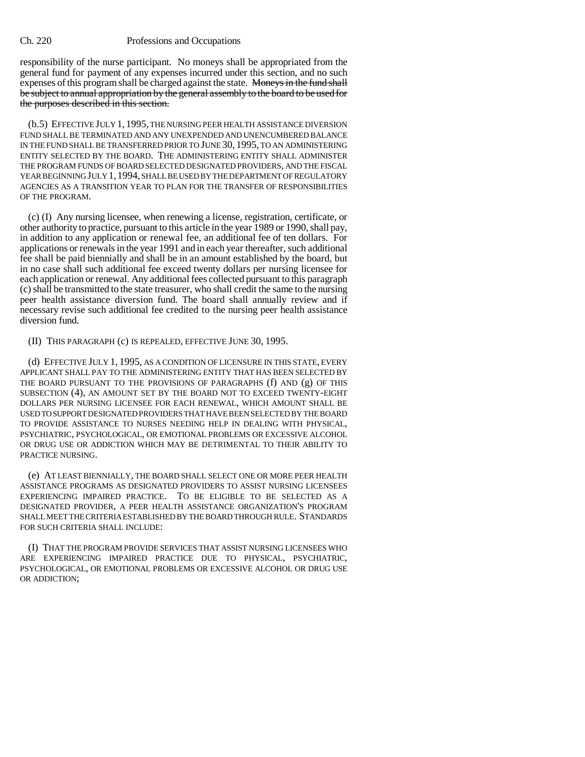## Ch. 220 Professions and Occupations

responsibility of the nurse participant. No moneys shall be appropriated from the general fund for payment of any expenses incurred under this section, and no such expenses of this program shall be charged against the state. Moneys in the fund shall be subject to annual appropriation by the general assembly to the board to be used for the purposes described in this section.

(b.5) EFFECTIVE JULY 1, 1995, THE NURSING PEER HEALTH ASSISTANCE DIVERSION FUND SHALL BE TERMINATED AND ANY UNEXPENDED AND UNENCUMBERED BALANCE IN THE FUND SHALL BE TRANSFERRED PRIOR TO JUNE 30, 1995, TO AN ADMINISTERING ENTITY SELECTED BY THE BOARD. THE ADMINISTERING ENTITY SHALL ADMINISTER THE PROGRAM FUNDS OF BOARD SELECTED DESIGNATED PROVIDERS, AND THE FISCAL YEAR BEGINNING JULY 1,1994, SHALL BE USED BY THE DEPARTMENT OF REGULATORY AGENCIES AS A TRANSITION YEAR TO PLAN FOR THE TRANSFER OF RESPONSIBILITIES OF THE PROGRAM.

(c) (I) Any nursing licensee, when renewing a license, registration, certificate, or other authority to practice, pursuant to this article in the year 1989 or 1990, shall pay, in addition to any application or renewal fee, an additional fee of ten dollars. For applications or renewals in the year 1991 and in each year thereafter, such additional fee shall be paid biennially and shall be in an amount established by the board, but in no case shall such additional fee exceed twenty dollars per nursing licensee for each application or renewal. Any additional fees collected pursuant to this paragraph (c) shall be transmitted to the state treasurer, who shall credit the same to the nursing peer health assistance diversion fund. The board shall annually review and if necessary revise such additional fee credited to the nursing peer health assistance diversion fund.

(II) THIS PARAGRAPH (c) IS REPEALED, EFFECTIVE JUNE 30, 1995.

(d) EFFECTIVE JULY 1, 1995, AS A CONDITION OF LICENSURE IN THIS STATE, EVERY APPLICANT SHALL PAY TO THE ADMINISTERING ENTITY THAT HAS BEEN SELECTED BY THE BOARD PURSUANT TO THE PROVISIONS OF PARAGRAPHS (f) AND (g) OF THIS SUBSECTION (4), AN AMOUNT SET BY THE BOARD NOT TO EXCEED TWENTY-EIGHT DOLLARS PER NURSING LICENSEE FOR EACH RENEWAL, WHICH AMOUNT SHALL BE USED TO SUPPORT DESIGNATED PROVIDERS THAT HAVE BEEN SELECTED BY THE BOARD TO PROVIDE ASSISTANCE TO NURSES NEEDING HELP IN DEALING WITH PHYSICAL, PSYCHIATRIC, PSYCHOLOGICAL, OR EMOTIONAL PROBLEMS OR EXCESSIVE ALCOHOL OR DRUG USE OR ADDICTION WHICH MAY BE DETRIMENTAL TO THEIR ABILITY TO PRACTICE NURSING.

(e) AT LEAST BIENNIALLY, THE BOARD SHALL SELECT ONE OR MORE PEER HEALTH ASSISTANCE PROGRAMS AS DESIGNATED PROVIDERS TO ASSIST NURSING LICENSEES EXPERIENCING IMPAIRED PRACTICE. TO BE ELIGIBLE TO BE SELECTED AS A DESIGNATED PROVIDER, A PEER HEALTH ASSISTANCE ORGANIZATION'S PROGRAM SHALL MEET THE CRITERIA ESTABLISHED BY THE BOARD THROUGH RULE. STANDARDS FOR SUCH CRITERIA SHALL INCLUDE:

(I) THAT THE PROGRAM PROVIDE SERVICES THAT ASSIST NURSING LICENSEES WHO ARE EXPERIENCING IMPAIRED PRACTICE DUE TO PHYSICAL, PSYCHIATRIC, PSYCHOLOGICAL, OR EMOTIONAL PROBLEMS OR EXCESSIVE ALCOHOL OR DRUG USE OR ADDICTION;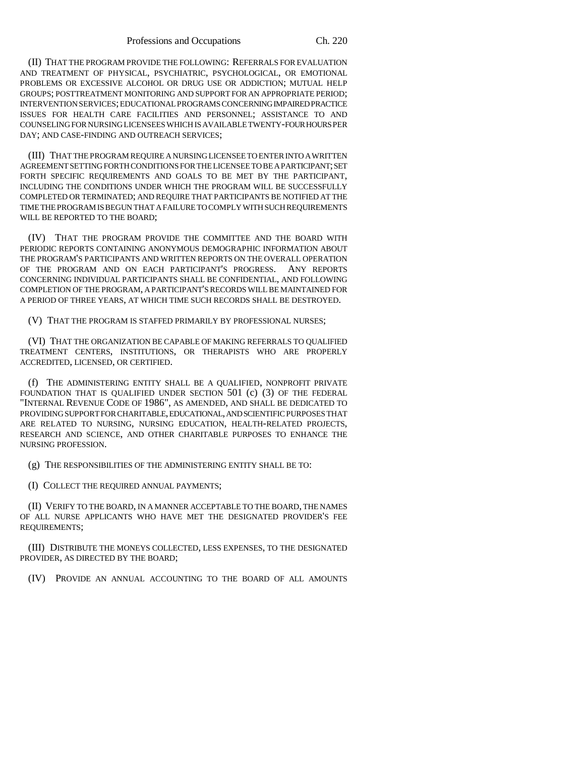(II) THAT THE PROGRAM PROVIDE THE FOLLOWING: REFERRALS FOR EVALUATION AND TREATMENT OF PHYSICAL, PSYCHIATRIC, PSYCHOLOGICAL, OR EMOTIONAL PROBLEMS OR EXCESSIVE ALCOHOL OR DRUG USE OR ADDICTION; MUTUAL HELP GROUPS; POSTTREATMENT MONITORING AND SUPPORT FOR AN APPROPRIATE PERIOD; INTERVENTION SERVICES; EDUCATIONAL PROGRAMS CONCERNING IMPAIRED PRACTICE ISSUES FOR HEALTH CARE FACILITIES AND PERSONNEL; ASSISTANCE TO AND COUNSELING FOR NURSING LICENSEES WHICH IS AVAILABLE TWENTY-FOUR HOURS PER DAY; AND CASE-FINDING AND OUTREACH SERVICES;

(III) THAT THE PROGRAM REQUIRE A NURSING LICENSEE TO ENTER INTO A WRITTEN AGREEMENT SETTING FORTH CONDITIONS FOR THE LICENSEE TO BE A PARTICIPANT; SET FORTH SPECIFIC REQUIREMENTS AND GOALS TO BE MET BY THE PARTICIPANT, INCLUDING THE CONDITIONS UNDER WHICH THE PROGRAM WILL BE SUCCESSFULLY COMPLETED OR TERMINATED; AND REQUIRE THAT PARTICIPANTS BE NOTIFIED AT THE TIME THE PROGRAM IS BEGUN THAT A FAILURE TO COMPLY WITH SUCH REQUIREMENTS WILL BE REPORTED TO THE BOARD;

(IV) THAT THE PROGRAM PROVIDE THE COMMITTEE AND THE BOARD WITH PERIODIC REPORTS CONTAINING ANONYMOUS DEMOGRAPHIC INFORMATION ABOUT THE PROGRAM'S PARTICIPANTS AND WRITTEN REPORTS ON THE OVERALL OPERATION OF THE PROGRAM AND ON EACH PARTICIPANT'S PROGRESS. ANY REPORTS CONCERNING INDIVIDUAL PARTICIPANTS SHALL BE CONFIDENTIAL, AND FOLLOWING COMPLETION OF THE PROGRAM, A PARTICIPANT'S RECORDS WILL BE MAINTAINED FOR A PERIOD OF THREE YEARS, AT WHICH TIME SUCH RECORDS SHALL BE DESTROYED.

(V) THAT THE PROGRAM IS STAFFED PRIMARILY BY PROFESSIONAL NURSES;

(VI) THAT THE ORGANIZATION BE CAPABLE OF MAKING REFERRALS TO QUALIFIED TREATMENT CENTERS, INSTITUTIONS, OR THERAPISTS WHO ARE PROPERLY ACCREDITED, LICENSED, OR CERTIFIED.

(f) THE ADMINISTERING ENTITY SHALL BE A QUALIFIED, NONPROFIT PRIVATE FOUNDATION THAT IS QUALIFIED UNDER SECTION 501 (c) (3) OF THE FEDERAL "INTERNAL REVENUE CODE OF 1986", AS AMENDED, AND SHALL BE DEDICATED TO PROVIDING SUPPORT FOR CHARITABLE, EDUCATIONAL, AND SCIENTIFIC PURPOSES THAT ARE RELATED TO NURSING, NURSING EDUCATION, HEALTH-RELATED PROJECTS, RESEARCH AND SCIENCE, AND OTHER CHARITABLE PURPOSES TO ENHANCE THE NURSING PROFESSION.

(g) THE RESPONSIBILITIES OF THE ADMINISTERING ENTITY SHALL BE TO:

(I) COLLECT THE REQUIRED ANNUAL PAYMENTS;

(II) VERIFY TO THE BOARD, IN A MANNER ACCEPTABLE TO THE BOARD, THE NAMES OF ALL NURSE APPLICANTS WHO HAVE MET THE DESIGNATED PROVIDER'S FEE REQUIREMENTS;

(III) DISTRIBUTE THE MONEYS COLLECTED, LESS EXPENSES, TO THE DESIGNATED PROVIDER, AS DIRECTED BY THE BOARD;

(IV) PROVIDE AN ANNUAL ACCOUNTING TO THE BOARD OF ALL AMOUNTS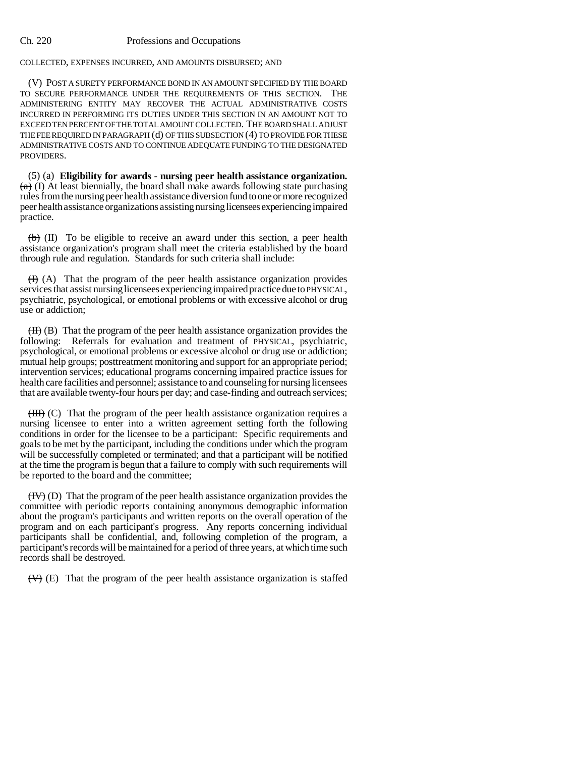## Ch. 220 Professions and Occupations

COLLECTED, EXPENSES INCURRED, AND AMOUNTS DISBURSED; AND

(V) POST A SURETY PERFORMANCE BOND IN AN AMOUNT SPECIFIED BY THE BOARD TO SECURE PERFORMANCE UNDER THE REQUIREMENTS OF THIS SECTION. THE ADMINISTERING ENTITY MAY RECOVER THE ACTUAL ADMINISTRATIVE COSTS INCURRED IN PERFORMING ITS DUTIES UNDER THIS SECTION IN AN AMOUNT NOT TO EXCEED TEN PERCENT OF THE TOTAL AMOUNT COLLECTED. THE BOARD SHALL ADJUST THE FEE REQUIRED IN PARAGRAPH (d) OF THIS SUBSECTION (4) TO PROVIDE FOR THESE ADMINISTRATIVE COSTS AND TO CONTINUE ADEQUATE FUNDING TO THE DESIGNATED PROVIDERS.

(5) (a) **Eligibility for awards - nursing peer health assistance organization.**  $(a)$  (I) At least biennially, the board shall make awards following state purchasing rules from the nursing peer health assistance diversion fund to one or more recognized peer health assistance organizations assisting nursing licensees experiencing impaired practice.

 $\overline{(b)}$  (II) To be eligible to receive an award under this section, a peer health assistance organization's program shall meet the criteria established by the board through rule and regulation. Standards for such criteria shall include:

 $(H)$  (A) That the program of the peer health assistance organization provides services that assist nursing licensees experiencing impaired practice due to PHYSICAL, psychiatric, psychological, or emotional problems or with excessive alcohol or drug use or addiction;

 $(H)$  (B) That the program of the peer health assistance organization provides the following: Referrals for evaluation and treatment of PHYSICAL, psychiatric, psychological, or emotional problems or excessive alcohol or drug use or addiction; mutual help groups; posttreatment monitoring and support for an appropriate period; intervention services; educational programs concerning impaired practice issues for health care facilities and personnel; assistance to and counseling for nursing licensees that are available twenty-four hours per day; and case-finding and outreach services;

 $(HH)$  (C) That the program of the peer health assistance organization requires a nursing licensee to enter into a written agreement setting forth the following conditions in order for the licensee to be a participant: Specific requirements and goals to be met by the participant, including the conditions under which the program will be successfully completed or terminated; and that a participant will be notified at the time the program is begun that a failure to comply with such requirements will be reported to the board and the committee;

 $(HV)$  (D) That the program of the peer health assistance organization provides the committee with periodic reports containing anonymous demographic information about the program's participants and written reports on the overall operation of the program and on each participant's progress. Any reports concerning individual participants shall be confidential, and, following completion of the program, a participant's records will be maintained for a period of three years, at which time such records shall be destroyed.

 $(\forall)$  (E) That the program of the peer health assistance organization is staffed